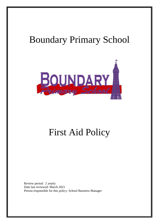# Boundary Primary School



## First Aid Policy

Review period: 2 yearly Date last reviewed: March 2021 Person responsible for this policy: School Business Manager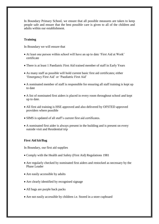In Boundary Primary School, we ensure that all possible measures are taken to keep people safe and ensure that the best possible care is given to all of the children and adults within our establishment.

#### **Training**

In Boundary we will ensure that

- At least one person within school will have an up to date 'First Aid at Work' certificate
- There is at least 1 Paediatric First Aid trained member of staff in Early Years
- As many staff as possible will hold current basic first aid certificates; either 'Emergency First Aid' or 'Paediatric First Aid'
- A nominated member of staff is responsible for ensuring all staff training is kept up to date
- A list of nominated first aiders is placed in every room throughout school and kept up to date.
- All first aid training is HSE approved and also delivered by OFSTED approved providers where possible
- SIMS is updated of all staff's current first aid certificates.
- A nominated first aider is always present in the building and is present on every outside visit and Residential trip

#### **First Aid kit/Bag**

In Boundary, our first aid supplies

- Comply with the Health and Safety (First Aid) Regulations 1981
- Are regularly checked by nominated first aiders and restocked as necessary by the Phase Leader
- Are easily accessible by adults
- Are clearly identified by recognised signage
- All bags are purple back packs
- Are not easily accessible by children i.e. Stored in a store cupboard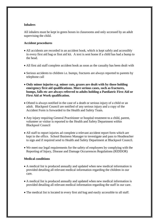#### **Inhalers**

All inhalers must be kept in green boxes in classrooms and only accessed by an adult supervising the child.

#### **Accident procedures**

- All accidents are recorded in an accident book, which is kept safely and accessibly in every first aid bag or first aid kit. A text is sent home if a child has had a bump to the head.
- All first aid staff complete accident book as soon as the casualty has been dealt with
- Serious accidents to children i.e. bumps, fractures are always reported to parents by telephone call
- **Only minor injuries e.g. minor cuts, grazes are dealt with by those holding emergency first aid qualifications. More serious cases, such as fractures, bumps, falls etc are always referred to adults holding a Paediatric First Aid or First Aid at Work qualification.**
- Ofsted is always notified in the case of a death or serious injury of a child or an adult. Blackpool Council are notified of any serious injury and a copy of the Accident Form is forwarded to the Health and Safety Team.
- Any injury requiring General Practitioner or hospital treatment to a child, parent, volunteer or visitor is reported to the Health and Safety Department within Blackpool Council
- All staff to report injuries ad complete a relevant accident report form which are kept in the office. School Business Manager to investigate and pass to Headteacher to sign and if required send to Health and Safety Department at Blackpool Council.
- We meet our legal requirements for the safety of employees by complying with the Reporting of Injury, Disease and Damage Occurrences Regulations (RIDDOR)

### **Medical conditions**

- A medical list is produced annually and updated when new medical information is provided detailing all relevant medical information regarding the children in our care.
- A medical list is produced annually and updated when new medical information is provided detailing all relevant medical information regarding the staff in our care.
- The medical list is located in every first aid bag and easily accessible to all staff.